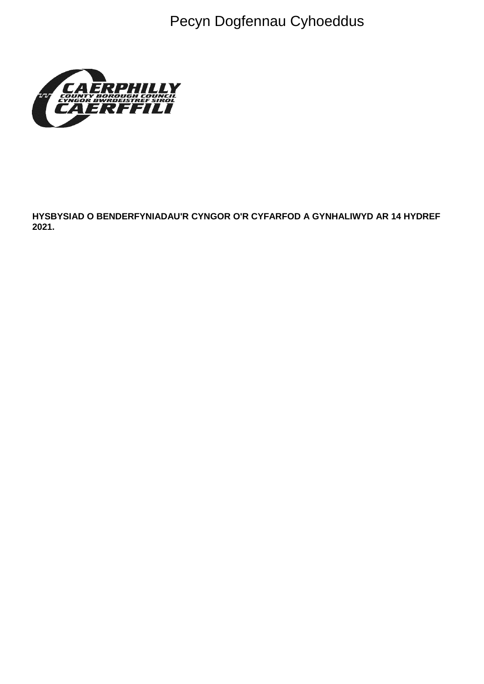Pecyn Dogfennau Cyhoeddus



HYSBYSIAD O BENDERFYNIADAU'R CYNGOR O'R CYFARFOD A GYNHALIWYD AR 14 HYDREF 2021.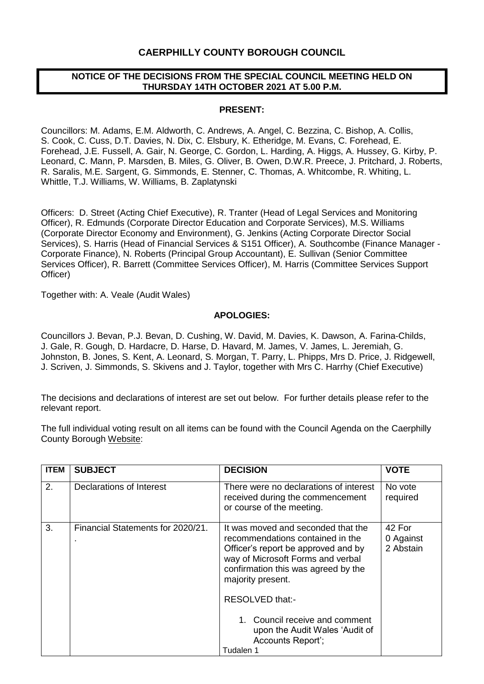## **CAERPHILLY COUNTY BOROUGH COUNCIL**

### **NOTICE OF THE DECISIONS FROM THE SPECIAL COUNCIL MEETING HELD ON THURSDAY 14TH OCTOBER 2021 AT 5.00 P.M.**

#### **PRESENT:**

Councillors: M. Adams, E.M. Aldworth, C. Andrews, A. Angel, C. Bezzina, C. Bishop, A. Collis, S. Cook, C. Cuss, D.T. Davies, N. Dix, C. Elsbury, K. Etheridge, M. Evans, C. Forehead, E. Forehead, J.E. Fussell, A. Gair, N. George, C. Gordon, L. Harding, A. Higgs, A. Hussey, G. Kirby, P. Leonard, C. Mann, P. Marsden, B. Miles, G. Oliver, B. Owen, D.W.R. Preece, J. Pritchard, J. Roberts, R. Saralis, M.E. Sargent, G. Simmonds, E. Stenner, C. Thomas, A. Whitcombe, R. Whiting, L. Whittle, T.J. Williams, W. Williams, B. Zaplatynski

Officers: D. Street (Acting Chief Executive), R. Tranter (Head of Legal Services and Monitoring Officer), R. Edmunds (Corporate Director Education and Corporate Services), M.S. Williams (Corporate Director Economy and Environment), G. Jenkins (Acting Corporate Director Social Services), S. Harris (Head of Financial Services & S151 Officer), A. Southcombe (Finance Manager - Corporate Finance), N. Roberts (Principal Group Accountant), E. Sullivan (Senior Committee Services Officer), R. Barrett (Committee Services Officer), M. Harris (Committee Services Support Officer)

Together with: A. Veale (Audit Wales)

#### **APOLOGIES:**

Councillors J. Bevan, P.J. Bevan, D. Cushing, W. David, M. Davies, K. Dawson, A. Farina-Childs, J. Gale, R. Gough, D. Hardacre, D. Harse, D. Havard, M. James, V. James, L. Jeremiah, G. Johnston, B. Jones, S. Kent, A. Leonard, S. Morgan, T. Parry, L. Phipps, Mrs D. Price, J. Ridgewell, J. Scriven, J. Simmonds, S. Skivens and J. Taylor, together with Mrs C. Harrhy (Chief Executive)

The decisions and declarations of interest are set out below. For further details please refer to the relevant report.

The full individual voting result on all items can be found with the Council Agenda on the Caerphilly County Borough [Website:](https://www.caerphilly.gov.uk/My-Council/Meetings,-agendas,-minutes-and-reports)

| <b>ITEM</b> | <b>SUBJECT</b>                    | <b>DECISION</b>                                                                                                                                                                                                                                                                                                                         | <b>VOTE</b>                      |
|-------------|-----------------------------------|-----------------------------------------------------------------------------------------------------------------------------------------------------------------------------------------------------------------------------------------------------------------------------------------------------------------------------------------|----------------------------------|
| 2.          | Declarations of Interest          | There were no declarations of interest<br>received during the commencement<br>or course of the meeting.                                                                                                                                                                                                                                 | No vote<br>required              |
| 3.          | Financial Statements for 2020/21. | It was moved and seconded that the<br>recommendations contained in the<br>Officer's report be approved and by<br>way of Microsoft Forms and verbal<br>confirmation this was agreed by the<br>majority present.<br>RESOLVED that:-<br>1. Council receive and comment<br>upon the Audit Wales 'Audit of<br>Accounts Report';<br>Tudalen 1 | 42 For<br>0 Against<br>2 Abstain |